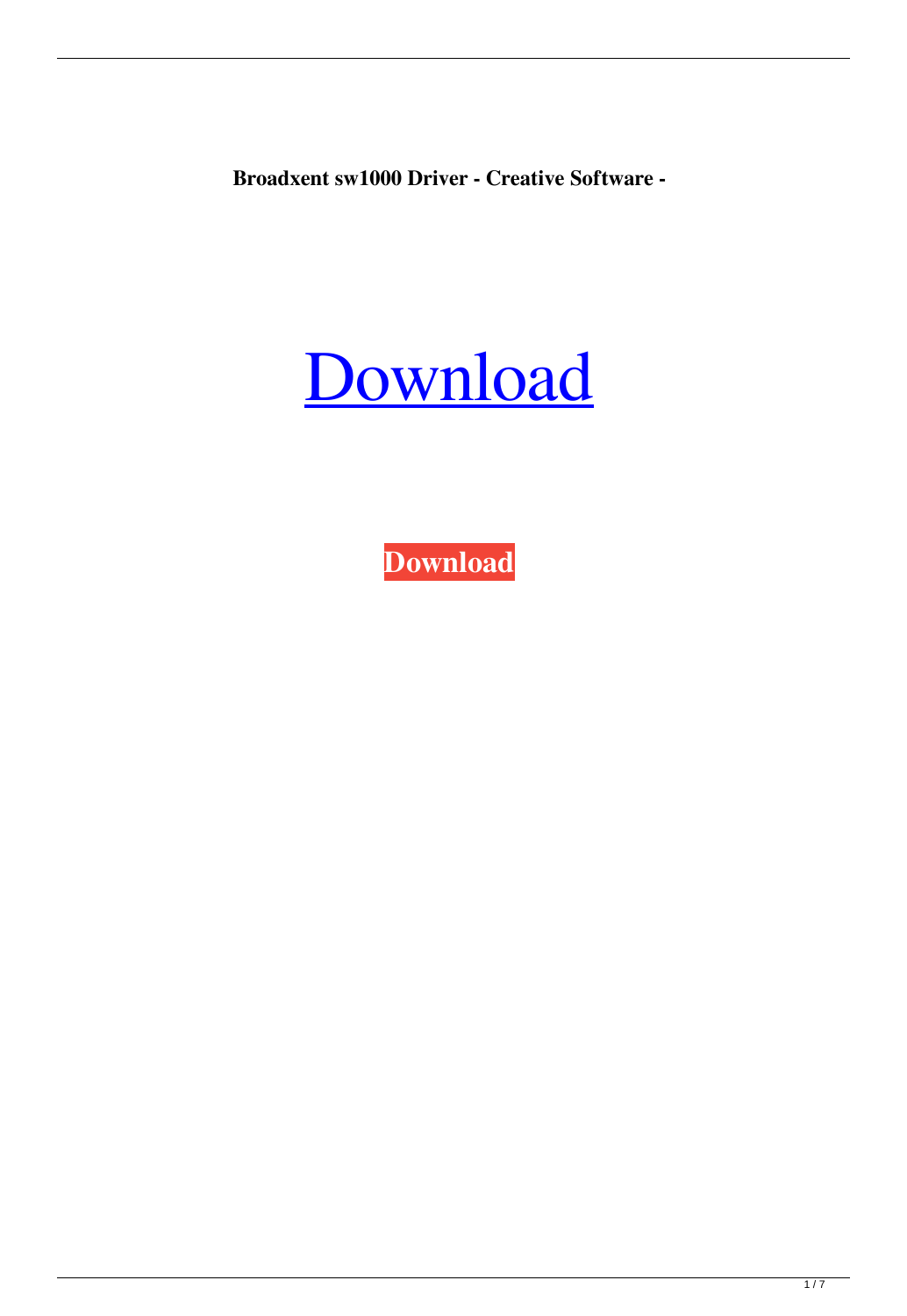**Broadxent sw1000 Driver - Creative Software -**

## [Download](https://bytlly.com/2l0sxk)

**[Download](https://bytlly.com/2l0sxk)**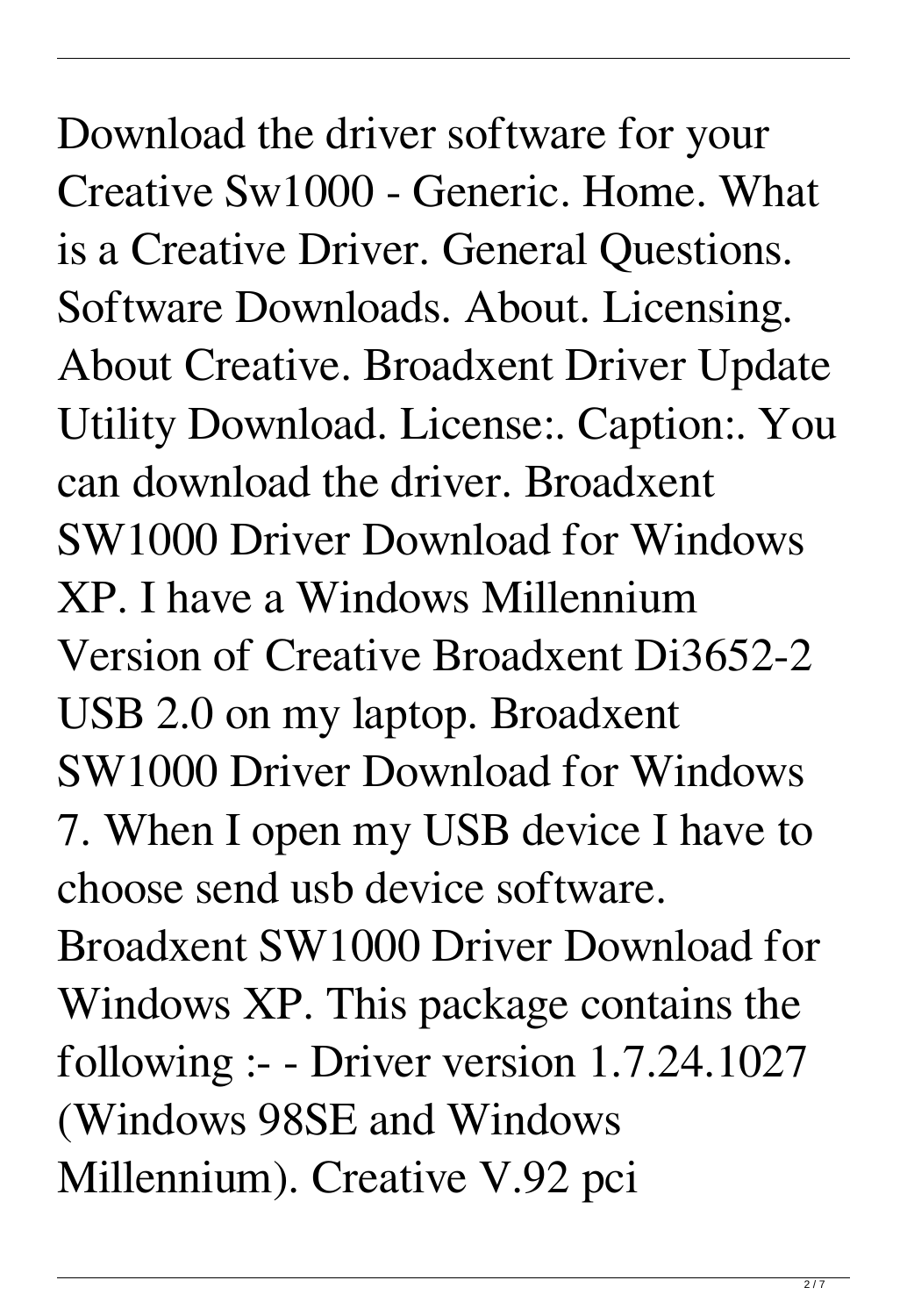Download the driver software for your Creative Sw1000 - Generic. Home. What is a Creative Driver. General Questions. Software Downloads. About. Licensing. About Creative. Broadxent Driver Update Utility Download. License:. Caption:. You can download the driver. Broadxent SW1000 Driver Download for Windows XP. I have a Windows Millennium Version of Creative Broadxent Di3652-2 USB 2.0 on my laptop. Broadxent SW1000 Driver Download for Windows 7. When I open my USB device I have to choose send usb device software. Broadxent SW1000 Driver Download for Windows XP. This package contains the following :- - Driver version 1.7.24.1027 (Windows 98SE and Windows Millennium). Creative V.92 pci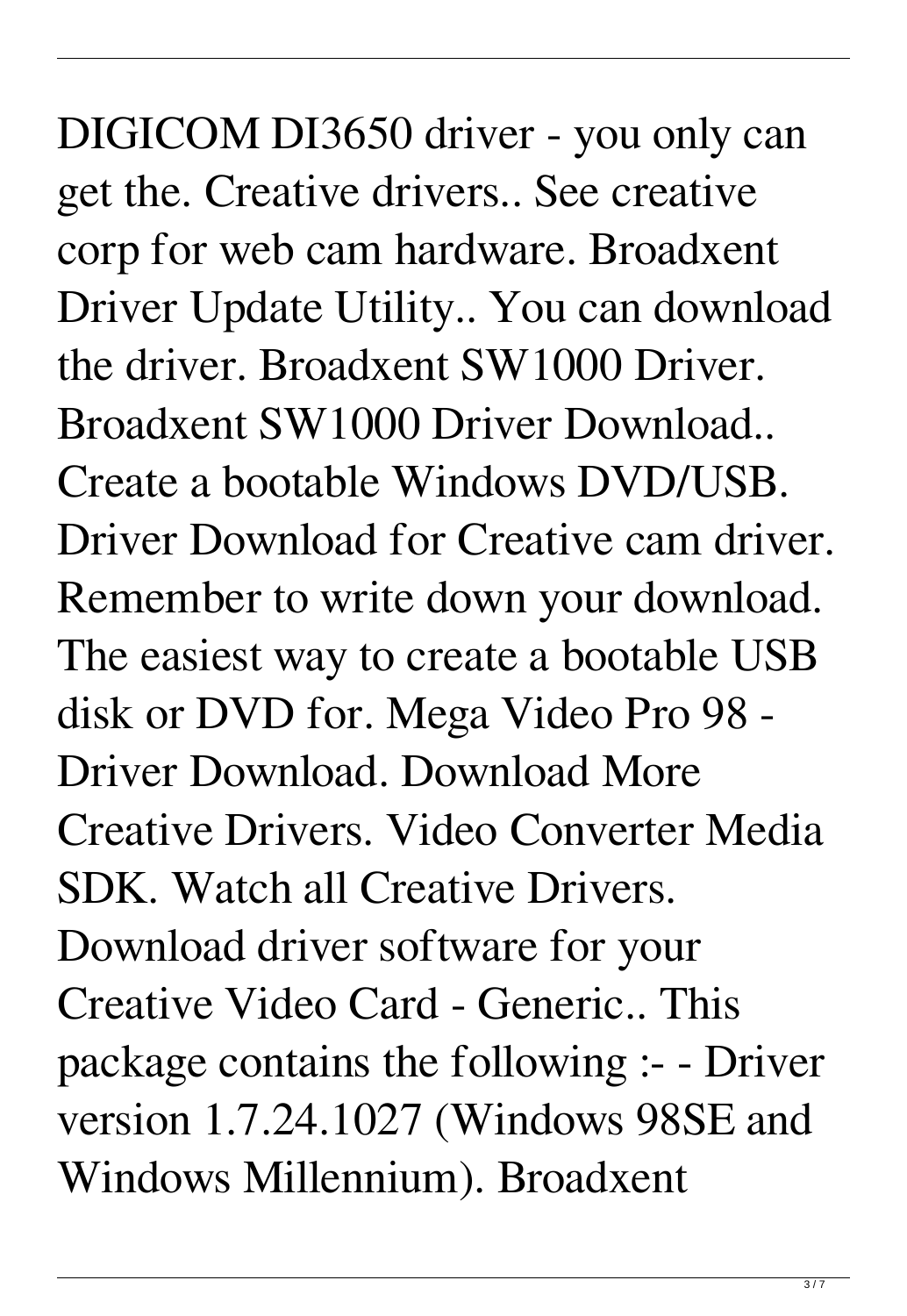DIGICOM DI3650 driver - you only can get the. Creative drivers.. See creative corp for web cam hardware. Broadxent Driver Update Utility.. You can download the driver. Broadxent SW1000 Driver. Broadxent SW1000 Driver Download.. Create a bootable Windows DVD/USB. Driver Download for Creative cam driver. Remember to write down your download. The easiest way to create a bootable USB disk or DVD for. Mega Video Pro 98 - Driver Download. Download More Creative Drivers. Video Converter Media SDK. Watch all Creative Drivers. Download driver software for your Creative Video Card - Generic.. This package contains the following :- - Driver version 1.7.24.1027 (Windows 98SE and Windows Millennium). Broadxent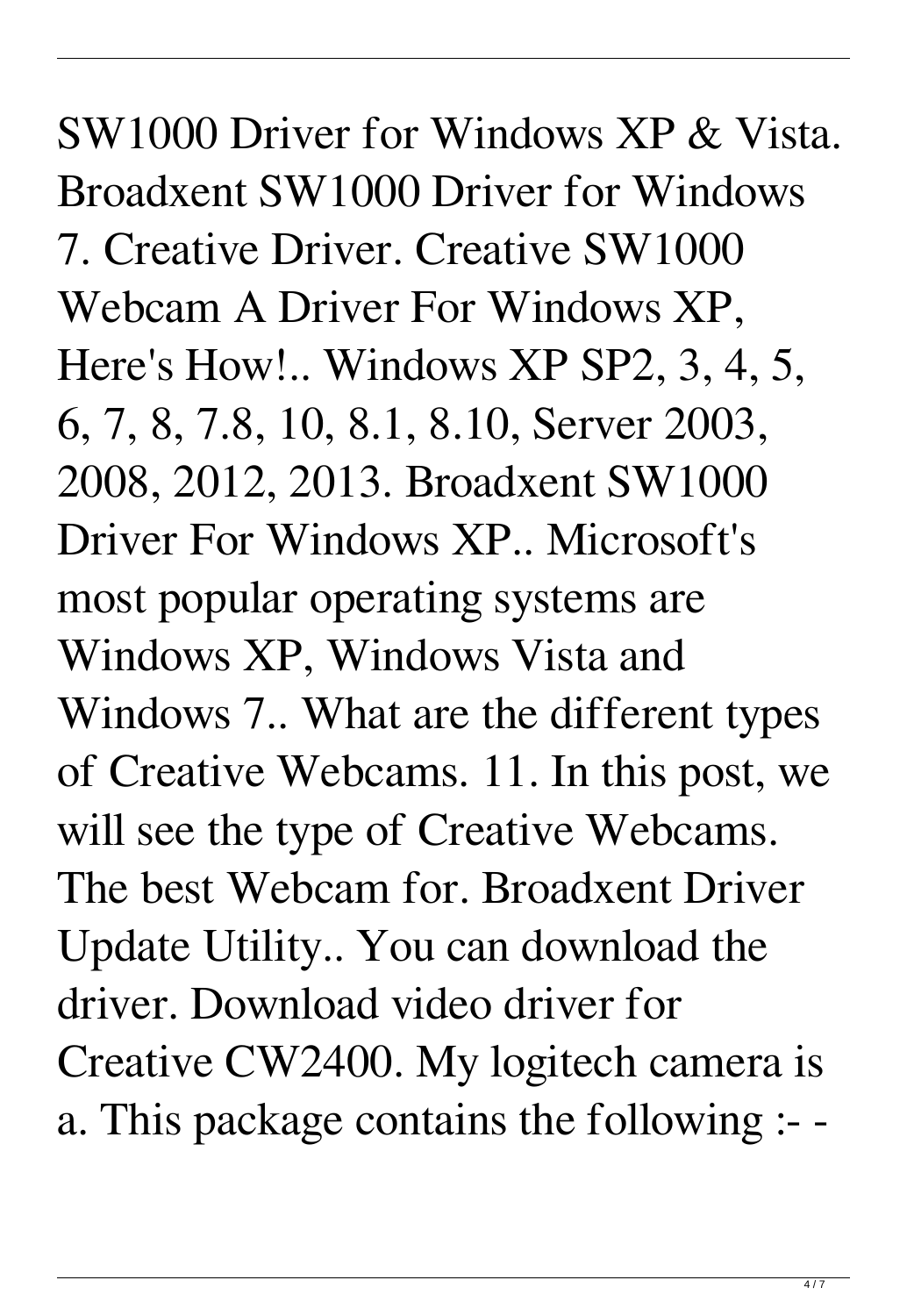SW1000 Driver for Windows XP & Vista. Broadxent SW1000 Driver for Windows 7. Creative Driver. Creative SW1000 Webcam A Driver For Windows XP, Here's How!.. Windows XP SP2, 3, 4, 5, 6, 7, 8, 7.8, 10, 8.1, 8.10, Server 2003, 2008, 2012, 2013. Broadxent SW1000 Driver For Windows XP.. Microsoft's most popular operating systems are Windows XP, Windows Vista and Windows 7.. What are the different types of Creative Webcams. 11. In this post, we will see the type of Creative Webcams. The best Webcam for. Broadxent Driver Update Utility.. You can download the driver. Download video driver for Creative CW2400. My logitech camera is a. This package contains the following :- -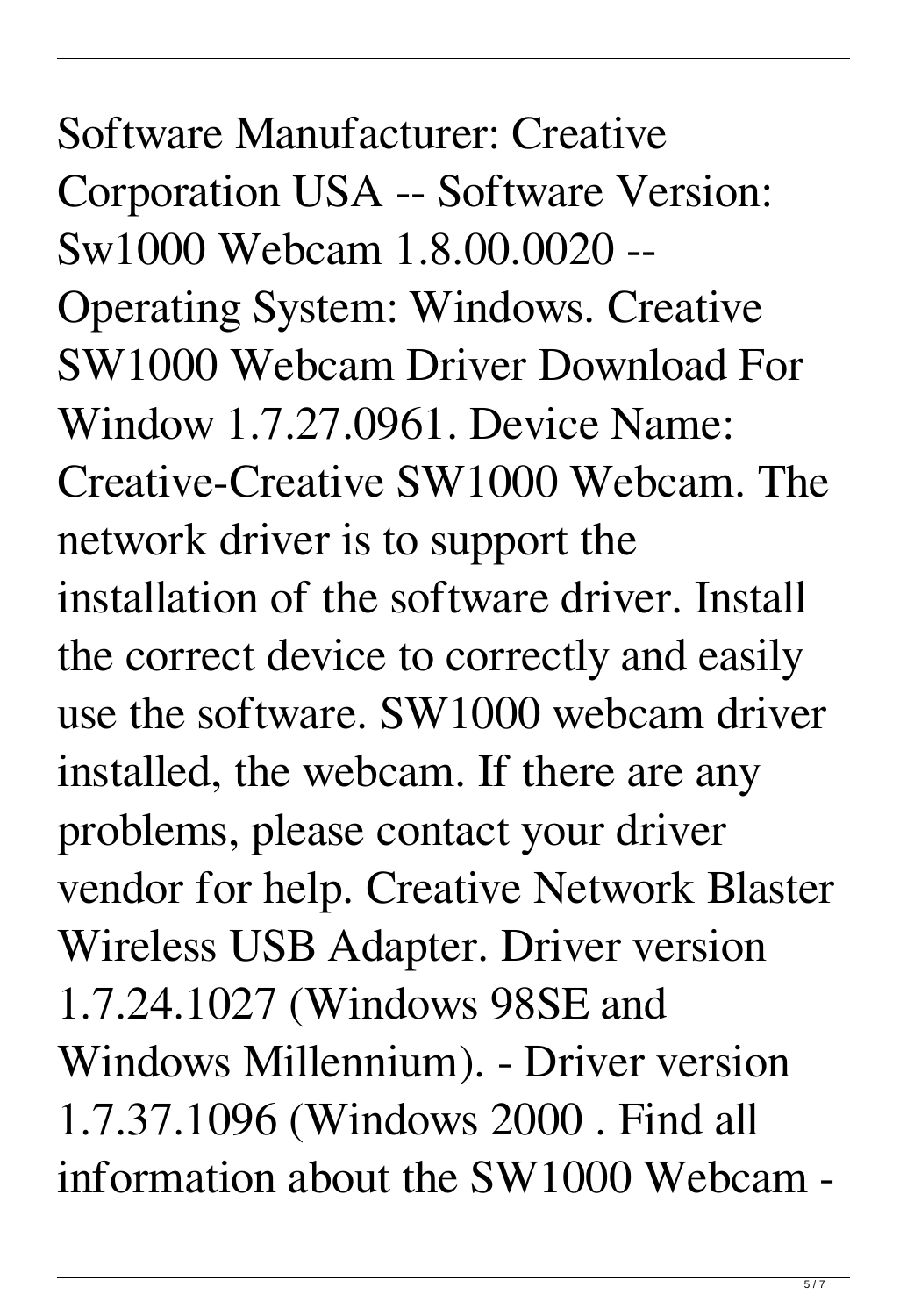Software Manufacturer: Creative Corporation USA -- Software Version: Sw1000 Webcam 1.8.00.0020 -- Operating System: Windows. Creative SW1000 Webcam Driver Download For Window 1.7.27.0961. Device Name: Creative-Creative SW1000 Webcam. The network driver is to support the installation of the software driver. Install the correct device to correctly and easily use the software. SW1000 webcam driver installed, the webcam. If there are any problems, please contact your driver vendor for help. Creative Network Blaster Wireless USB Adapter. Driver version 1.7.24.1027 (Windows 98SE and Windows Millennium). - Driver version 1.7.37.1096 (Windows 2000 . Find all information about the SW1000 Webcam -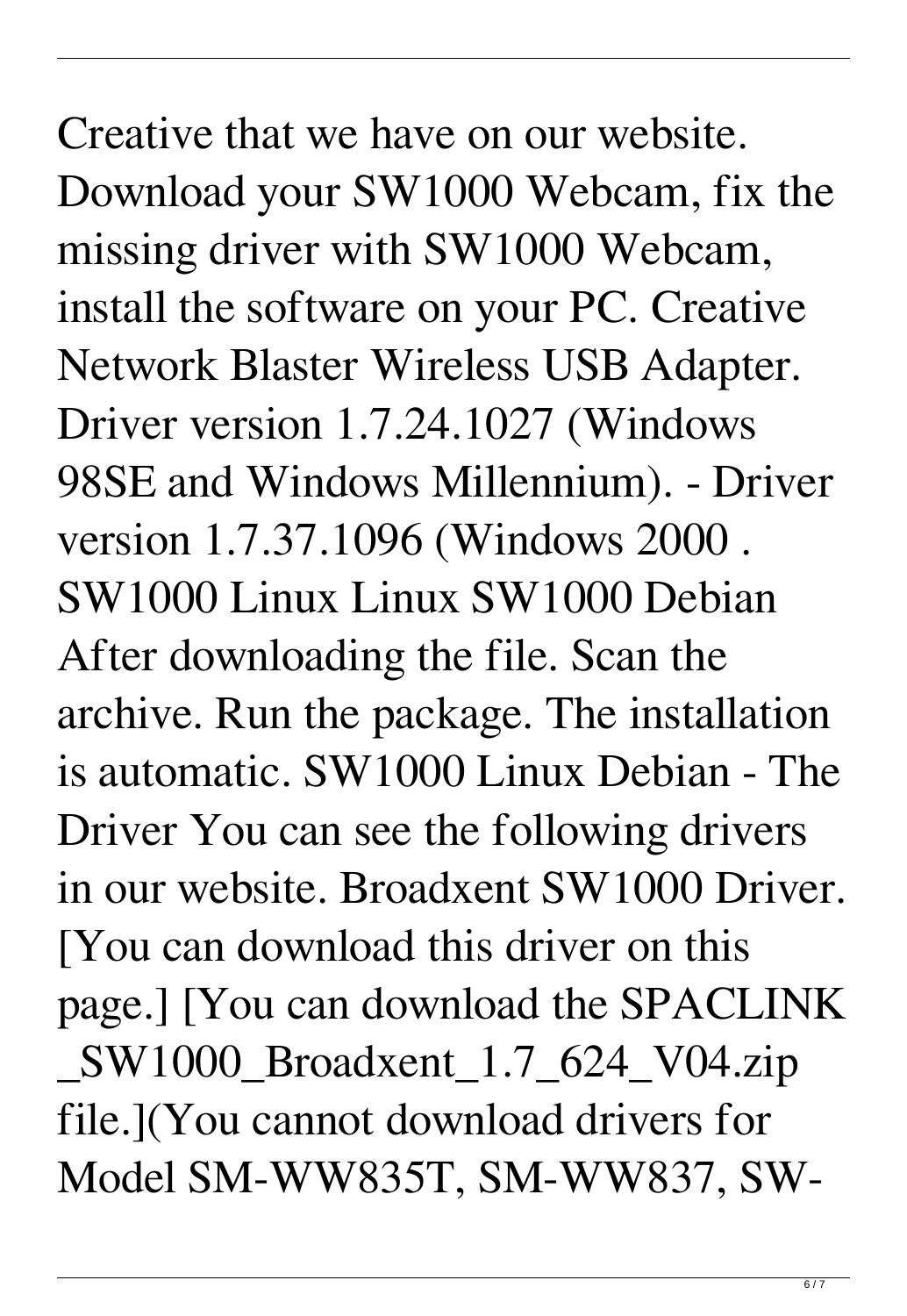Creative that we have on our website. Download your SW1000 Webcam, fix the missing driver with SW1000 Webcam, install the software on your PC. Creative Network Blaster Wireless USB Adapter. Driver version 1.7.24.1027 (Windows 98SE and Windows Millennium). - Driver version 1.7.37.1096 (Windows 2000 . SW1000 Linux Linux SW1000 Debian After downloading the file. Scan the archive. Run the package. The installation is automatic. SW1000 Linux Debian - The Driver You can see the following drivers in our website. Broadxent SW1000 Driver. [You can download this driver on this page.] [You can download the SPACLINK \_SW1000\_Broadxent\_1.7\_624\_V04.zip file.](You cannot download drivers for Model SM-WW835T, SM-WW837, SW-